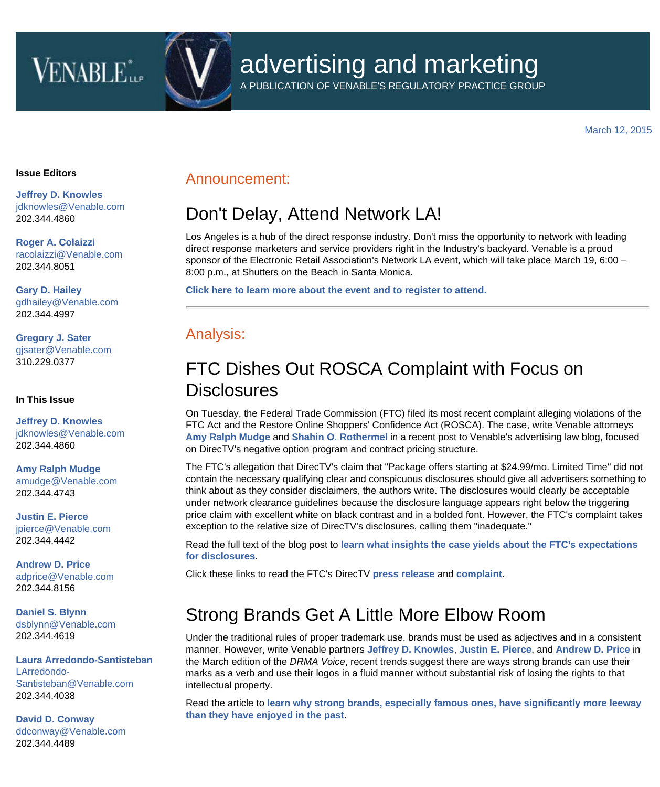# **VENABLE**<sup>\*</sup>

# advertising and marketing

A PUBLICATION OF VENABLE'S REGULATORY PRACTICE GROUP

[March 12, 2015](https://www.venable.com/EmailMarketing/ForwardingHandler.aspx?nid=839e0ef7-8d45-4937-8b74-2112803b3c62&clid=0c61608f-c669-4713-a62b-05aac4012abe&cid=b9224a10-5d0f-4c20-ab16-23a0f8947df6&ce=5g%2fWiGf8u%2fRICAeeg%2bghuu8NaCRZLowT)

#### **Issue Editors**

**[Jeffrey D. Knowles](http://www.venable.com/Jeffrey-D-Knowles)** [jdknowles@Venable.com](mailto:jdknowles@Venable.com)  202.344.4860

**[Roger A. Colaizzi](http://www.venable.com/Roger-A-Colaizzi)** [racolaizzi@Venable.com](mailto:racolaizzi@Venable.com) 202.344.8051

**[Gary D. Hailey](http://www.venable.com/Gary-D-Hailey)** [gdhailey@Venable.com](mailto:gdhailey@Venable.com) 202.344.4997

**[Gregory J. Sater](http://www.venable.com/Gregory-J-Sater)** [gjsater@Venable.com](mailto:gjsater@Venable.com) 310.229.0377

#### **In This Issue**

**[Jeffrey D. Knowles](http://www.venable.com/Jeffrey-D-Knowles)** [jdknowles@Venable.com](mailto:jdknowles@Venable.com)  202.344.4860

**[Amy Ralph Mudge](http://www.venable.com/Amy-R-Mudge)** [amudge@Venable.com](mailto:amudge@Venable.com) 202.344.4743

**[Justin E. Pierce](http://www.venable.com/Justin-E-Pierce)** [jpierce@Venable.com](mailto:jpierce@Venable.com) 202.344.4442

**[Andrew D. Price](http://www.venable.com/andrew-d-price)** [adprice@Venable.com](mailto:adprice@Venable.com) 202.344.8156

**[Daniel S. Blynn](http://www.venable.com/Daniel-S-Blynn)** [dsblynn@Venable.com](mailto:dsblynn@Venable.com) 202.344.4619

**[Laura Arredondo-Santisteban](http://www.venable.com/Laura-Arredondo-Santisteban)** [LArredondo-](mailto:LArredondo-Santisteban@Venable.com)[Santisteban@Venable.com](mailto:LArredondo-Santisteban@Venable.com) 202.344.4038

**[David D. Conway](http://www.venable.com/David-D-Conway)** [ddconway@Venable.com](mailto:ddconway@Venable.com) 202.344.4489

#### Announcement:

## Don't Delay, Attend Network LA!

Los Angeles is a hub of the direct response industry. Don't miss the opportunity to network with leading direct response marketers and service providers right in the Industry's backyard. Venable is a proud sponsor of the Electronic Retail Association's Network LA event, which will take place March 19, 6:00 – 8:00 p.m., at Shutters on the Beach in Santa Monica.

**[Click here to learn more about the event and to register to attend.](http://pages.retailing.org/network-la-2015)**

### Analysis:

### FTC Dishes Out ROSCA Complaint with Focus on **Disclosures**

On Tuesday, the Federal Trade Commission (FTC) filed its most recent complaint alleging violations of the FTC Act and the Restore Online Shoppers' Confidence Act (ROSCA). The case, write Venable attorneys **[Amy Ralph Mudge](http://www.venable.com/amy-r-mudge/?utm_source=hubbard&utm_medium=email&utm_campaign=AdLaw-2015-03-12)** and **[Shahin O. Rothermel](http://www.venable.com/shahin-o-rothermel/?utm_source=hubbard&utm_medium=email&utm_campaign=AdLaw-2015-03-12)** in a recent post to Venable's advertising law blog, focused on DirecTV's negative option program and contract pricing structure.

The FTC's allegation that DirecTV's claim that "Package offers starting at \$24.99/mo. Limited Time" did not contain the necessary qualifying clear and conspicuous disclosures should give all advertisers something to think about as they consider disclaimers, the authors write. The disclosures would clearly be acceptable under network clearance guidelines because the disclosure language appears right below the triggering price claim with excellent white on black contrast and in a bolded font. However, the FTC's complaint takes exception to the relative size of DirecTV's disclosures, calling them "inadequate."

Read the full text of the blog post to **[learn what insights the case yields about the FTC's expectations](http://www.allaboutadvertisinglaw.com/2015/03/ftc-dishes-out-rosca-complaint-with-focus-on-disclosures.html#more-3264?utm_source=hubbard&utm_medium=email&utm_campaign=AdLaw-2015-03-12) [for disclosures](http://www.allaboutadvertisinglaw.com/2015/03/ftc-dishes-out-rosca-complaint-with-focus-on-disclosures.html#more-3264?utm_source=hubbard&utm_medium=email&utm_campaign=AdLaw-2015-03-12)**.

Click these links to read the FTC's DirecTV **[press release](https://www.ftc.gov/news-events/press-releases/2015/03/ftc-charges-directv-deceptively-advertising-cost-its-satellite)** and **[complaint](https://www.ftc.gov/system/files/documents/cases/150311directtvcmpt.pdf)**.

## Strong Brands Get A Little More Elbow Room

Under the traditional rules of proper trademark use, brands must be used as adjectives and in a consistent manner. However, write Venable partners **[Jeffrey D. Knowles](https://www.venable.com/jeffrey-d-knowles/?utm_source=hubbard&utm_medium=email&utm_campaign=AdLaw-2015-03-12)**, **[Justin E. Pierce](https://www.venable.com/justin-e-pierce/?utm_source=hubbard&utm_medium=email&utm_campaign=AdLaw-2015-03-12)**, and **[Andrew D. Price](https://www.venable.com/andrew-d-price/?utm_source=hubbard&utm_medium=email&utm_campaign=AdLaw-2015-03-12)** in the March edition of the *DRMA Voice*, recent trends suggest there are ways strong brands can use their marks as a verb and use their logos in a fluid manner without substantial risk of losing the rights to that intellectual property.

Read the article to **[learn why strong brands, especially famous ones, have significantly more leeway](http://www.responsemagazine.com/drma/strong-brands-have-room-flex-8228) [than they have enjoyed in the past](http://www.responsemagazine.com/drma/strong-brands-have-room-flex-8228)**.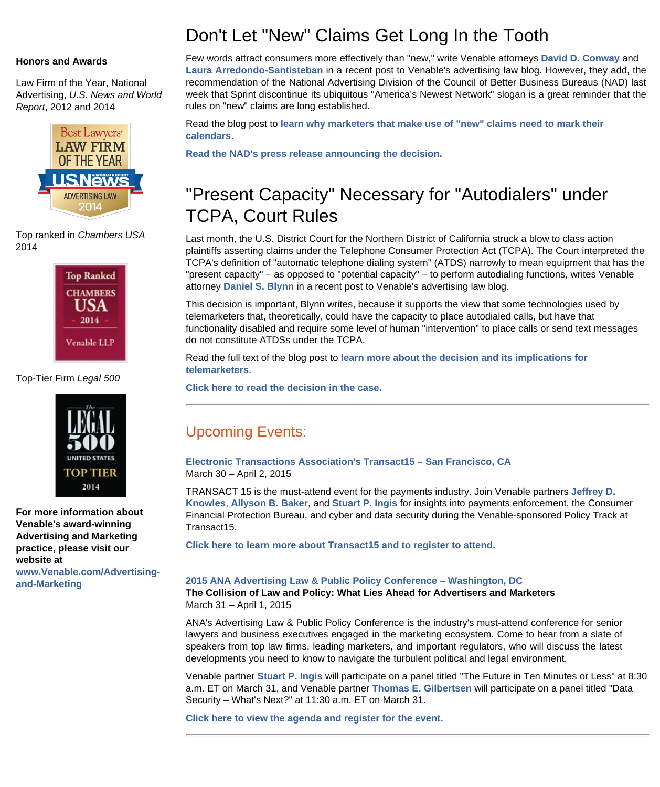#### **Honors and Awards**

Law Firm of the Year, National Advertising, *U.S. News and World Report*, 2012 and 2014



Top ranked in *Chambers USA* 2014



Top-Tier Firm *Legal 500*



**For more information about Venable's award-winning Advertising and Marketing practice, please visit our website at [www.Venable.com/Advertising](http://www.venable.com/Advertising-and-Marketing?utm_source=hubbard&utm_medium=email&utm_campaign=AdLaw-2015-03-12)[and-Marketing](http://www.venable.com/Advertising-and-Marketing?utm_source=hubbard&utm_medium=email&utm_campaign=AdLaw-2015-03-12)**

### Don't Let "New" Claims Get Long In the Tooth

Few words attract consumers more effectively than "new," write Venable attorneys **[David D. Conway](http://www.venable.com/David-D-Conway?utm_source=hubbard&utm_medium=email&utm_campaign=AdLaw-2015-03-12)** and **[Laura Arredondo-Santisteban](https://www.venable.com/laura-arredondo-santisteban/?utm_source=hubbard&utm_medium=email&utm_campaign=AdLaw-2015-03-12)** in a recent post to Venable's advertising law blog. However, they add, the recommendation of the National Advertising Division of the Council of Better Business Bureaus (NAD) last week that Sprint discontinue its ubiquitous "America's Newest Network" slogan is a great reminder that the rules on "new" claims are long established.

Read the blog post to **[learn why marketers that make use of "new" claims need to mark their](http://www.allaboutadvertisinglaw.com/2015/03/when-new-advertising-gets-too-settled-in.html#more-3244?utm_source=hubbard&utm_medium=email&utm_campaign=AdLaw-2015-03-12) [calendars](http://www.allaboutadvertisinglaw.com/2015/03/when-new-advertising-gets-too-settled-in.html#more-3244?utm_source=hubbard&utm_medium=email&utm_campaign=AdLaw-2015-03-12)**.

**[Read the NAD's press release announcing the decision.](http://www.asrcreviews.org/2015/03/nad-recommends-sprint-discontinue-new-network-customer-satisfaction-claims-following-t-mobile-challenge/)**

## "Present Capacity" Necessary for "Autodialers" under TCPA, Court Rules

Last month, the U.S. District Court for the Northern District of California struck a blow to class action plaintiffs asserting claims under the Telephone Consumer Protection Act (TCPA). The Court interpreted the TCPA's definition of "automatic telephone dialing system" (ATDS) narrowly to mean equipment that has the "present capacity" – as opposed to "potential capacity" – to perform autodialing functions, writes Venable attorney **[Daniel S. Blynn](http://www.venable.com/daniel-s-blynn/?utm_source=hubbard&utm_medium=email&utm_campaign=AdLaw-2015-03-12)** in a recent post to Venable's advertising law blog.

This decision is important, Blynn writes, because it supports the view that some technologies used by telemarketers that, theoretically, could have the capacity to place autodialed calls, but have that functionality disabled and require some level of human "intervention" to place calls or send text messages do not constitute ATDSs under the TCPA.

Read the full text of the blog post to **[learn more about the decision and its implications for](http://www.allaboutadvertisinglaw.com/2015/02/court-rules-that-dialing-equipment-must-have-present-capacity-to-autodial-to-come-within-the-telephone-consumer-protection-act.html?utm_source=hubbard&utm_medium=email&utm_campaign=AdLaw-2015-03-12) [telemarketers](http://www.allaboutadvertisinglaw.com/2015/02/court-rules-that-dialing-equipment-must-have-present-capacity-to-autodial-to-come-within-the-telephone-consumer-protection-act.html?utm_source=hubbard&utm_medium=email&utm_campaign=AdLaw-2015-03-12)**.

**[Click here to read the decision in the case.](http://docs.justia.com/cases/federal/district-courts/california/candce/4:2011cv02584/244162/149)**

### Upcoming Events:

**[Electronic Transactions Association's Transact15 – San Francisco, CA](http://electran.org/events/transact15/)** March 30 – April 2, 2015

TRANSACT 15 is the must-attend event for the payments industry. Join Venable partners **[Jeffrey D.](https://www.venable.com/jeffrey-d-knowles/?utm_source=hubbard&utm_medium=email&utm_campaign=AdLaw-2015-03-12) [Knowles](https://www.venable.com/jeffrey-d-knowles/?utm_source=hubbard&utm_medium=email&utm_campaign=AdLaw-2015-03-12)**, **[Allyson B. Baker](https://www.venable.com/allyson-b-baker/?utm_source=hubbard&utm_medium=email&utm_campaign=AdLaw-2015-03-12)**, and **[Stuart P. Ingis](https://www.venable.com/stuart-p-ingis/?utm_source=hubbard&utm_medium=email&utm_campaign=AdLaw-2015-03-12)** for insights into payments enforcement, the Consumer Financial Protection Bureau, and cyber and data security during the Venable-sponsored Policy Track at Transact15.

**[Click here to learn more about Transact15 and to register to attend.](http://electran.org/events/transact15/)**

#### **[2015 ANA Advertising Law & Public Policy Conference – Washington, DC](http://www.ana.net/conference/show/id/LAW-MAR15)**

**The Collision of Law and Policy: What Lies Ahead for Advertisers and Marketers** March 31 – April 1, 2015

ANA's Advertising Law & Public Policy Conference is the industry's must-attend conference for senior lawyers and business executives engaged in the marketing ecosystem. Come to hear from a slate of speakers from top law firms, leading marketers, and important regulators, who will discuss the latest developments you need to know to navigate the turbulent political and legal environment.

Venable partner **[Stuart P. Ingis](https://www.venable.com/stuart-p-ingis/?utm_source=hubbard&utm_medium=email&utm_campaign=AdLaw-2015-03-12)** will participate on a panel titled "The Future in Ten Minutes or Less" at 8:30 a.m. ET on March 31, and Venable partner **[Thomas E. Gilbertsen](https://www.venable.com/thomas-e-gilbertsen/?utm_source=hubbard&utm_medium=email&utm_campaign=AdLaw-2015-03-12)** will participate on a panel titled "Data Security – What's Next?" at 11:30 a.m. ET on March 31.

**[Click here to view the agenda and register for the event.](http://www.ana.net/conference/show/id/LAW-MAR15)**